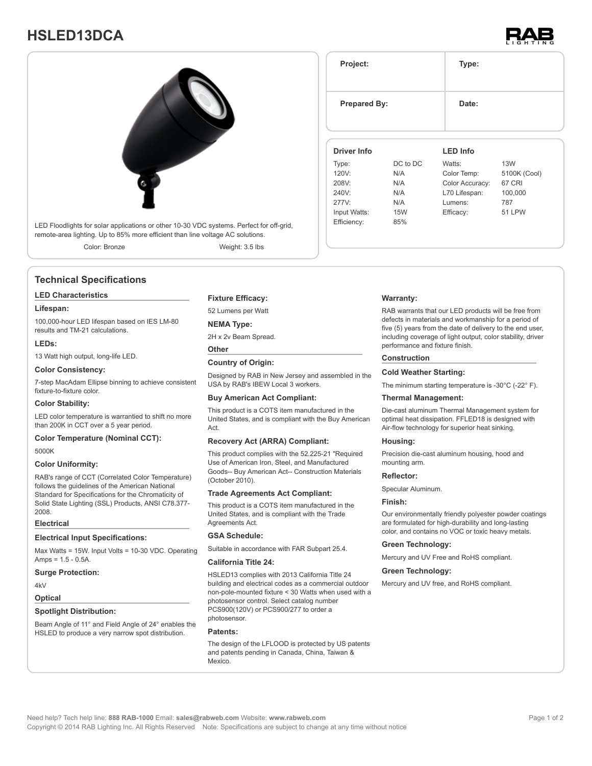## **HSLED13DCA**





Color: Bronze Weight: 3.5 lbs

## **Technical Specifications**

## **LED Characteristics**

### **Lifespan:**

100,000-hour LED lifespan based on IES LM-80 results and TM-21 calculations.

### **LEDs:**

13 Watt high output, long-life LED.

**Color Consistency:**

7-step MacAdam Ellipse binning to achieve consistent fixture-to-fixture color.

## **Color Stability:**

LED color temperature is warrantied to shift no more than 200K in CCT over a 5 year period.

## **Color Temperature (Nominal CCT):**

5000K

## **Color Uniformity:**

RAB's range of CCT (Correlated Color Temperature) follows the guidelines of the American National Standard for Specifications for the Chromaticity of Solid State Lighting (SSL) Products, ANSI C78.377- 2008.

#### **Electrical**

## **Electrical Input Specifications:**

Max Watts = 15W. Input Volts = 10-30 VDC. Operating Amps = 1.5 - 0.5A.

**Surge Protection:**

4kV

## **Optical**

## **Spotlight Distribution:**

Beam Angle of 11° and Field Angle of 24° enables the HSLED to produce a very narrow spot distribution.

### **Fixture Efficacy:**

52 Lumens per Watt

#### **NEMA Type:**

2H x 2v Beam Spread.

## **Other**

**Country of Origin:**

Designed by RAB in New Jersey and assembled in the USA by RAB's IBEW Local 3 workers.

## **Buy American Act Compliant:**

This product is a COTS item manufactured in the United States, and is compliant with the Buy American Act.

## **Recovery Act (ARRA) Compliant:**

This product complies with the 52.225-21 "Required Use of American Iron, Steel, and Manufactured Goods-- Buy American Act-- Construction Materials (October 2010).

## **Trade Agreements Act Compliant:**

This product is a COTS item manufactured in the United States, and is compliant with the Trade Agreements Act.

## **GSA Schedule:**

Suitable in accordance with FAR Subpart 25.4.

## **California Title 24:**

HSLED13 complies with 2013 California Title 24 building and electrical codes as a commercial outdoor non-pole-mounted fixture < 30 Watts when used with a photosensor control. Select catalog number PCS900(120V) or PCS900/277 to order a photosensor.

## **Patents:**

The design of the LFLOOD is protected by US patents and patents pending in Canada, China, Taiwan & Mexico.

| <b>Prepared By:</b> |            | Date:<br><b>LED Info</b> |               |
|---------------------|------------|--------------------------|---------------|
| Driver Info         |            |                          |               |
| Type:               | DC to DC   | Watts:                   | <b>13W</b>    |
| 120V:               | N/A        | Color Temp:              | 5100K (Cool)  |
| 208V:               | N/A        | Color Accuracy:          | 67 CRI        |
|                     | N/A        | L70 Lifespan:            | 100,000       |
| 240V                |            |                          |               |
| 277V:               | N/A        | Lumens:                  | 787           |
| Input Watts:        | <b>15W</b> | Efficacy:                | <b>51 LPW</b> |

**Project: Type:**

## **Warranty:**

RAB warrants that our LED products will be free from defects in materials and workmanship for a period of five (5) years from the date of delivery to the end user, including coverage of light output, color stability, driver performance and fixture finish.

## **Construction**

#### **Cold Weather Starting:**

The minimum starting temperature is -30°C (-22° F).

## **Thermal Management:**

Die-cast aluminum Thermal Management system for optimal heat dissipation. FFLED18 is designed with Air-flow technology for superior heat sinking.

## **Housing:**

Precision die-cast aluminum housing, hood and mounting arm.

## **Reflector:**

Specular Aluminum.

#### **Finish:**

Our environmentally friendly polyester powder coatings are formulated for high-durability and long-lasting color, and contains no VOC or toxic heavy metals.

#### **Green Technology:**

Mercury and UV Free and RoHS compliant.

#### **Green Technology:**

Mercury and UV free, and RoHS compliant.